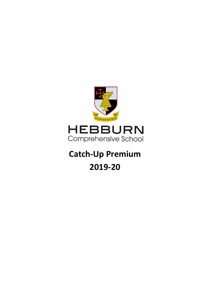

## **Catch-Up Premium**

## **2019-20**